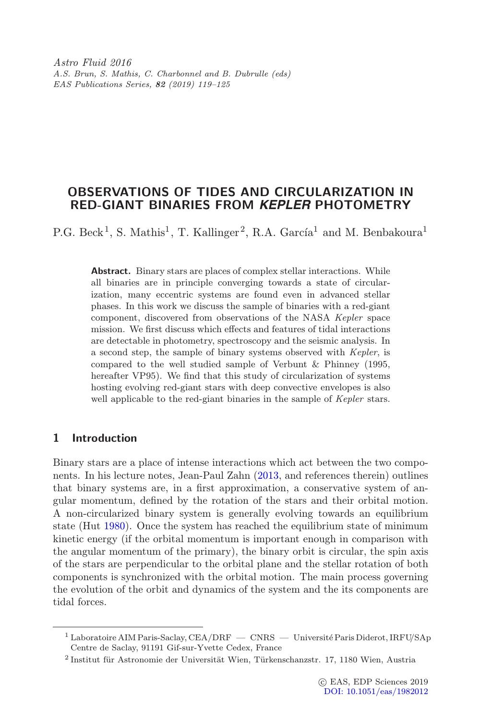Astro Fluid 2016 A.S. Brun, S. Mathis, C. Charbonnel and B. Dubrulle (eds) EAS Publications Series, 82 (2019) 119–125

# OBSERVATIONS OF TIDES AND CIRCULARIZATION IN RED-GIANT BINARIES FROM *KEPLER* PHOTOMETRY

P.G. Beck<sup>1</sup>, S. Mathis<sup>1</sup>, T. Kallinger<sup>2</sup>, R.A. García<sup>1</sup> and M. Benbakoura<sup>1</sup>

Abstract. Binary stars are places of complex stellar interactions. While all binaries are in principle converging towards a state of circularization, many eccentric systems are found even in advanced stellar phases. In this work we discuss the sample of binaries with a red-giant component, discovered from observations of the NASA Kepler space mission. We first discuss which effects and features of tidal interactions are detectable in photometry, spectroscopy and the seismic analysis. In a second step, the sample of binary systems observed with Kepler, is compared to the well studied sample of Verbunt & Phinney (1995, hereafter VP95). We find that this study of circularization of systems hosting evolving red-giant stars with deep convective envelopes is also well applicable to the red-giant binaries in the sample of Kepler stars.

## 1 Introduction

Binary stars are a place of intense interactions which act between the two components. In his lecture notes, Jean-Paul Zahn [\(2013,](#page-6-0) and references therein) outlines that binary systems are, in a first approximation, a conservative system of angular momentum, defined by the rotation of the stars and their orbital motion. A non-circularized binary system is generally evolving towards an equilibrium state (Hut [1980\)](#page-5-0). Once the system has reached the equilibrium state of minimum kinetic energy (if the orbital momentum is important enough in comparison with the angular momentum of the primary), the binary orbit is circular, the spin axis of the stars are perpendicular to the orbital plane and the stellar rotation of both components is synchronized with the orbital motion. The main process governing the evolution of the orbit and dynamics of the system and the its components are tidal forces.

<sup>&</sup>lt;sup>1</sup> Laboratoire AIM Paris-Saclay, CEA/DRF — CNRS — Université Paris Diderot, IRFU/SAp Centre de Saclay, 91191 Gif-sur-Yvette Cedex, France

 $^2$ Institut für Astronomie der Universität Wien, Türkenschanzstr. 17, 1180 Wien, Austria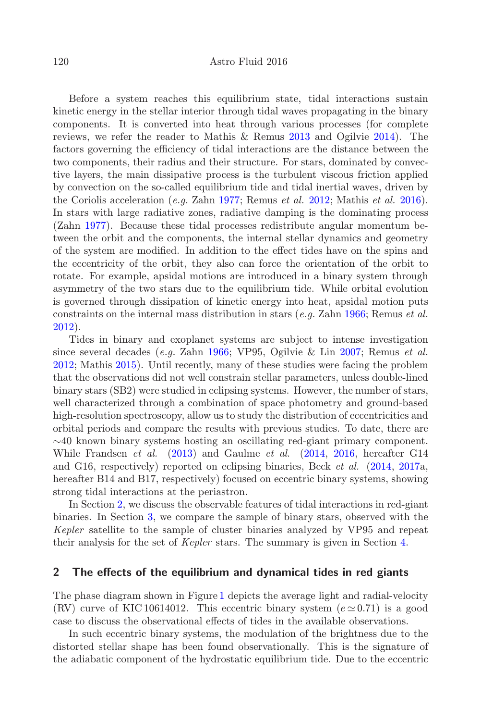Before a system reaches this equilibrium state, tidal interactions sustain kinetic energy in the stellar interior through tidal waves propagating in the binary components. It is converted into heat through various processes (for complete reviews, we refer the reader to Mathis & Remus [2013](#page-5-1) and Ogilvie [2014\)](#page-5-2). The factors governing the efficiency of tidal interactions are the distance between the two components, their radius and their structure. For stars, dominated by convective layers, the main dissipative process is the turbulent viscous friction applied by convection on the so-called equilibrium tide and tidal inertial waves, driven by the Coriolis acceleration (e.g. Zahn [1977;](#page-6-1) Remus et al. [2012;](#page-5-3) Mathis et al. [2016\)](#page-5-4). In stars with large radiative zones, radiative damping is the dominating process (Zahn [1977\)](#page-6-1). Because these tidal processes redistribute angular momentum between the orbit and the components, the internal stellar dynamics and geometry of the system are modified. In addition to the effect tides have on the spins and the eccentricity of the orbit, they also can force the orientation of the orbit to rotate. For example, apsidal motions are introduced in a binary system through asymmetry of the two stars due to the equilibrium tide. While orbital evolution is governed through dissipation of kinetic energy into heat, apsidal motion puts constraints on the internal mass distribution in stars (e.g. Zahn [1966;](#page-6-2) Remus et al. [2012\)](#page-5-3).

Tides in binary and exoplanet systems are subject to intense investigation since several decades (e.g. Zahn [1966;](#page-6-2) VP95, Ogilvie & Lin [2007;](#page-5-5) Remus et al. [2012;](#page-5-3) Mathis [2015\)](#page-5-6). Until recently, many of these studies were facing the problem that the observations did not well constrain stellar parameters, unless double-lined binary stars (SB2) were studied in eclipsing systems. However, the number of stars, well characterized through a combination of space photometry and ground-based high-resolution spectroscopy, allow us to study the distribution of eccentricities and orbital periods and compare the results with previous studies. To date, there are  $\sim$ 40 known binary systems hosting an oscillating red-giant primary component. While Frandsen et al. [\(2013\)](#page-5-7) and Gaulme et al. [\(2014,](#page-5-8) [2016,](#page-5-9) hereafter G14 and G16, respectively) reported on eclipsing binaries, Beck et al. [\(2014,](#page-5-10) [2017a](#page-5-11), hereafter B14 and B17, respectively) focused on eccentric binary systems, showing strong tidal interactions at the periastron.

In Section [2,](#page-1-0) we discuss the observable features of tidal interactions in red-giant binaries. In Section [3,](#page-3-0) we compare the sample of binary stars, observed with the Kepler satellite to the sample of cluster binaries analyzed by VP95 and repeat their analysis for the set of Kepler stars. The summary is given in Section [4.](#page-5-12)

### <span id="page-1-0"></span>2 The effects of the equilibrium and dynamical tides in red giants

The phase diagram shown in Figure [1](#page-2-0) depicts the average light and radial-velocity (RV) curve of KIC 10614012. This eccentric binary system  $(e \simeq 0.71)$  is a good case to discuss the observational effects of tides in the available observations.

In such eccentric binary systems, the modulation of the brightness due to the distorted stellar shape has been found observationally. This is the signature of the adiabatic component of the hydrostatic equilibrium tide. Due to the eccentric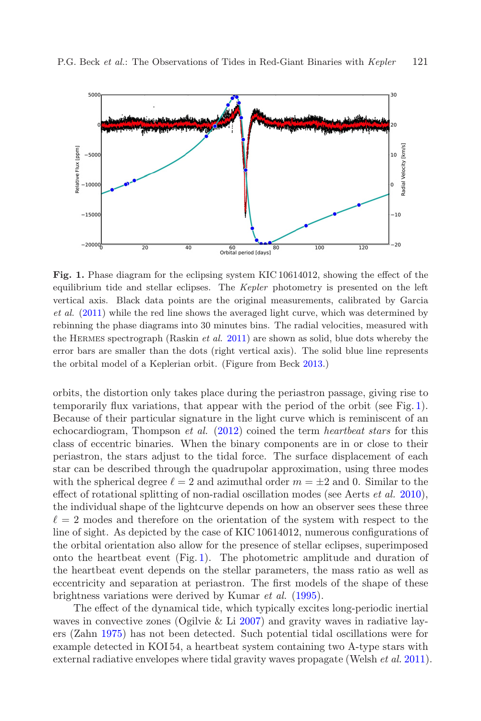

<span id="page-2-0"></span>Fig. 1. Phase diagram for the eclipsing system KIC 10614012, showing the effect of the equilibrium tide and stellar eclipses. The Kepler photometry is presented on the left vertical axis. Black data points are the original measurements, calibrated by Garcia et al. [\(2011\)](#page-5-13) while the red line shows the averaged light curve, which was determined by rebinning the phase diagrams into 30 minutes bins. The radial velocities, measured with the HERMES spectrograph (Raskin *et al.* [2011\)](#page-5-14) are shown as solid, blue dots whereby the error bars are smaller than the dots (right vertical axis). The solid blue line represents the orbital model of a Keplerian orbit. (Figure from Beck [2013.](#page-5-15))

orbits, the distortion only takes place during the periastron passage, giving rise to temporarily flux variations, that appear with the period of the orbit (see Fig. [1\)](#page-2-0). Because of their particular signature in the light curve which is reminiscent of an echocardiogram, Thompson et al. [\(2012\)](#page-5-16) coined the term heartbeat stars for this class of eccentric binaries. When the binary components are in or close to their periastron, the stars adjust to the tidal force. The surface displacement of each star can be described through the quadrupolar approximation, using three modes with the spherical degree  $\ell = 2$  and azimuthal order  $m = \pm 2$  and 0. Similar to the effect of rotational splitting of non-radial oscillation modes (see Aerts  $et al. 2010$ ), the individual shape of the lightcurve depends on how an observer sees these three  $\ell = 2$  modes and therefore on the orientation of the system with respect to the line of sight. As depicted by the case of KIC 10614012, numerous configurations of the orbital orientation also allow for the presence of stellar eclipses, superimposed onto the heartbeat event (Fig. [1\)](#page-2-0). The photometric amplitude and duration of the heartbeat event depends on the stellar parameters, the mass ratio as well as eccentricity and separation at periastron. The first models of the shape of these brightness variations were derived by Kumar et al. [\(1995\)](#page-5-18).

The effect of the dynamical tide, which typically excites long-periodic inertial waves in convective zones (Ogilvie  $&$  Li [2007\)](#page-5-5) and gravity waves in radiative layers (Zahn [1975\)](#page-6-3) has not been detected. Such potential tidal oscillations were for example detected in KOI 54, a heartbeat system containing two A-type stars with external radiative envelopes where tidal gravity waves propagate (Welsh *et al.* [2011\)](#page-5-19).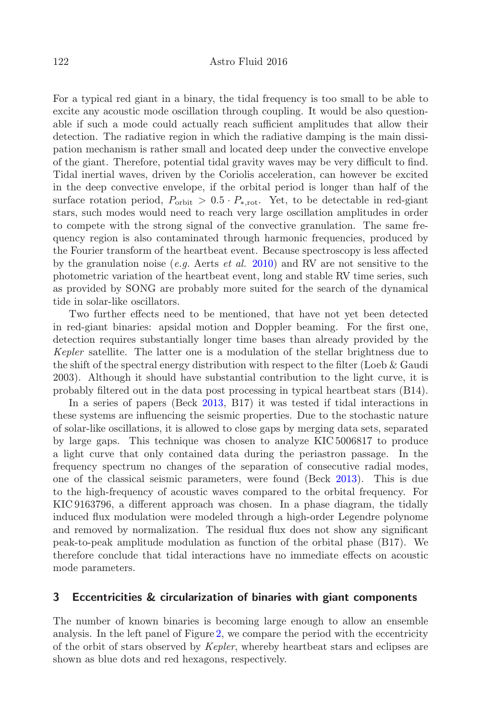For a typical red giant in a binary, the tidal frequency is too small to be able to excite any acoustic mode oscillation through coupling. It would be also questionable if such a mode could actually reach sufficient amplitudes that allow their detection. The radiative region in which the radiative damping is the main dissipation mechanism is rather small and located deep under the convective envelope of the giant. Therefore, potential tidal gravity waves may be very difficult to find. Tidal inertial waves, driven by the Coriolis acceleration, can however be excited in the deep convective envelope, if the orbital period is longer than half of the surface rotation period,  $P_{\text{orbit}} > 0.5 \cdot P_{*,\text{rot}}$ . Yet, to be detectable in red-giant stars, such modes would need to reach very large oscillation amplitudes in order to compete with the strong signal of the convective granulation. The same frequency region is also contaminated through harmonic frequencies, produced by the Fourier transform of the heartbeat event. Because spectroscopy is less affected by the granulation noise (e.g. Aerts et al. [2010\)](#page-5-17) and RV are not sensitive to the photometric variation of the heartbeat event, long and stable RV time series, such as provided by SONG are probably more suited for the search of the dynamical tide in solar-like oscillators.

Two further effects need to be mentioned, that have not yet been detected in red-giant binaries: apsidal motion and Doppler beaming. For the first one, detection requires substantially longer time bases than already provided by the Kepler satellite. The latter one is a modulation of the stellar brightness due to the shift of the spectral energy distribution with respect to the filter (Loeb & Gaudi 2003). Although it should have substantial contribution to the light curve, it is probably filtered out in the data post processing in typical heartbeat stars (B14).

In a series of papers (Beck [2013,](#page-5-15) B17) it was tested if tidal interactions in these systems are influencing the seismic properties. Due to the stochastic nature of solar-like oscillations, it is allowed to close gaps by merging data sets, separated by large gaps. This technique was chosen to analyze KIC 5006817 to produce a light curve that only contained data during the periastron passage. In the frequency spectrum no changes of the separation of consecutive radial modes, one of the classical seismic parameters, were found (Beck [2013\)](#page-5-15). This is due to the high-frequency of acoustic waves compared to the orbital frequency. For KIC 9163796, a different approach was chosen. In a phase diagram, the tidally induced flux modulation were modeled through a high-order Legendre polynome and removed by normalization. The residual flux does not show any significant peak-to-peak amplitude modulation as function of the orbital phase (B17). We therefore conclude that tidal interactions have no immediate effects on acoustic mode parameters.

#### <span id="page-3-0"></span>3 Eccentricities & circularization of binaries with giant components

The number of known binaries is becoming large enough to allow an ensemble analysis. In the left panel of Figure [2,](#page-4-0) we compare the period with the eccentricity of the orbit of stars observed by Kepler, whereby heartbeat stars and eclipses are shown as blue dots and red hexagons, respectively.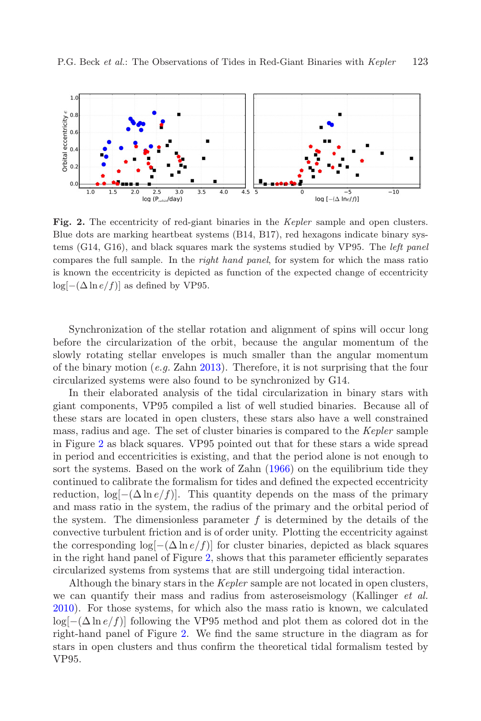

<span id="page-4-0"></span>Fig. 2. The eccentricity of red-giant binaries in the Kepler sample and open clusters. Blue dots are marking heartbeat systems (B14, B17), red hexagons indicate binary systems (G14, G16), and black squares mark the systems studied by VP95. The left panel compares the full sample. In the *right hand panel*, for system for which the mass ratio is known the eccentricity is depicted as function of the expected change of eccentricity  $\log[-(\Delta \ln e/f)]$  as defined by VP95.

Synchronization of the stellar rotation and alignment of spins will occur long before the circularization of the orbit, because the angular momentum of the slowly rotating stellar envelopes is much smaller than the angular momentum of the binary motion  $(e.g.$  Zahn [2013\)](#page-6-0). Therefore, it is not surprising that the four circularized systems were also found to be synchronized by G14.

In their elaborated analysis of the tidal circularization in binary stars with giant components, VP95 compiled a list of well studied binaries. Because all of these stars are located in open clusters, these stars also have a well constrained mass, radius and age. The set of cluster binaries is compared to the Kepler sample in Figure [2](#page-4-0) as black squares. VP95 pointed out that for these stars a wide spread in period and eccentricities is existing, and that the period alone is not enough to sort the systems. Based on the work of Zahn [\(1966\)](#page-6-2) on the equilibrium tide they continued to calibrate the formalism for tides and defined the expected eccentricity reduction,  $\log[-(\Delta \ln e/f)]$ . This quantity depends on the mass of the primary and mass ratio in the system, the radius of the primary and the orbital period of the system. The dimensionless parameter  $f$  is determined by the details of the convective turbulent friction and is of order unity. Plotting the eccentricity against the corresponding  $\log[-(\Delta \ln e/f)]$  for cluster binaries, depicted as black squares in the right hand panel of Figure [2,](#page-4-0) shows that this parameter efficiently separates circularized systems from systems that are still undergoing tidal interaction.

Although the binary stars in the Kepler sample are not located in open clusters, we can quantify their mass and radius from asteroseismology (Kallinger *et al.*) [2010\)](#page-6-4). For those systems, for which also the mass ratio is known, we calculated  $\log[-(\Delta \ln e/f)]$  following the VP95 method and plot them as colored dot in the right-hand panel of Figure [2.](#page-4-0) We find the same structure in the diagram as for stars in open clusters and thus confirm the theoretical tidal formalism tested by VP95.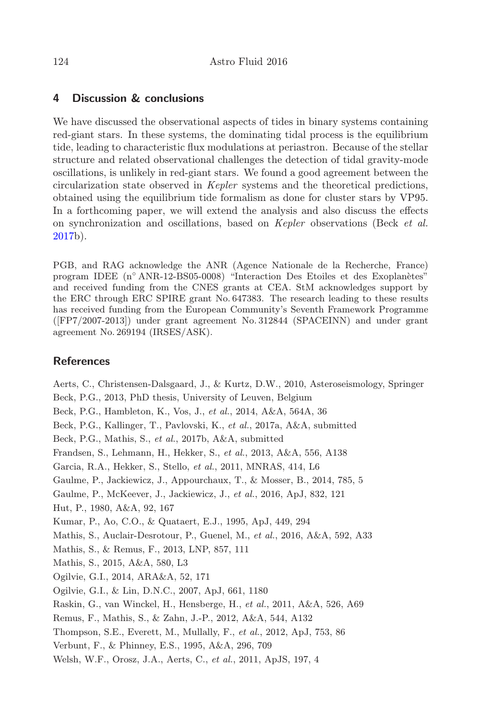## <span id="page-5-12"></span>4 Discussion & conclusions

We have discussed the observational aspects of tides in binary systems containing red-giant stars. In these systems, the dominating tidal process is the equilibrium tide, leading to characteristic flux modulations at periastron. Because of the stellar structure and related observational challenges the detection of tidal gravity-mode oscillations, is unlikely in red-giant stars. We found a good agreement between the circularization state observed in Kepler systems and the theoretical predictions, obtained using the equilibrium tide formalism as done for cluster stars by VP95. In a forthcoming paper, we will extend the analysis and also discuss the effects on synchronization and oscillations, based on Kepler observations (Beck et al. [2017b](#page-5-20)).

PGB, and RAG acknowledge the ANR (Agence Nationale de la Recherche, France) program IDEE (n° ANR-12-BS05-0008) "Interaction Des Etoiles et des Exoplanètes" and received funding from the CNES grants at CEA. StM acknowledges support by the ERC through ERC SPIRE grant No. 647383. The research leading to these results has received funding from the European Community's Seventh Framework Programme ([FP7/2007-2013]) under grant agreement No. 312844 (SPACEINN) and under grant agreement No. 269194 (IRSES/ASK).

### **References**

<span id="page-5-20"></span><span id="page-5-19"></span><span id="page-5-18"></span><span id="page-5-17"></span><span id="page-5-16"></span><span id="page-5-15"></span><span id="page-5-14"></span><span id="page-5-13"></span><span id="page-5-11"></span><span id="page-5-10"></span><span id="page-5-9"></span><span id="page-5-8"></span><span id="page-5-7"></span><span id="page-5-6"></span><span id="page-5-5"></span><span id="page-5-4"></span><span id="page-5-3"></span><span id="page-5-2"></span><span id="page-5-1"></span><span id="page-5-0"></span>Aerts, C., Christensen-Dalsgaard, J., & Kurtz, D.W., 2010, Asteroseismology, Springer Beck, P.G., 2013, PhD thesis, University of Leuven, Belgium Beck, P.G., Hambleton, K., Vos, J., et al., 2014, A&A, 564A, 36 Beck, P.G., Kallinger, T., Pavlovski, K., et al., 2017a, A&A, submitted Beck, P.G., Mathis, S., et al., 2017b, A&A, submitted Frandsen, S., Lehmann, H., Hekker, S., et al., 2013, A&A, 556, A138 Garcia, R.A., Hekker, S., Stello, et al., 2011, MNRAS, 414, L6 Gaulme, P., Jackiewicz, J., Appourchaux, T., & Mosser, B., 2014, 785, 5 Gaulme, P., McKeever, J., Jackiewicz, J., et al., 2016, ApJ, 832, 121 Hut, P., 1980, A&A, 92, 167 Kumar, P., Ao, C.O., & Quataert, E.J., 1995, ApJ, 449, 294 Mathis, S., Auclair-Desrotour, P., Guenel, M., et al., 2016, A&A, 592, A33 Mathis, S., & Remus, F., 2013, LNP, 857, 111 Mathis, S., 2015, A&A, 580, L3 Ogilvie, G.I., 2014, ARA&A, 52, 171 Ogilvie, G.I., & Lin, D.N.C., 2007, ApJ, 661, 1180 Raskin, G., van Winckel, H., Hensberge, H., et al., 2011, A&A, 526, A69 Remus, F., Mathis, S., & Zahn, J.-P., 2012, A&A, 544, A132 Thompson, S.E., Everett, M., Mullally, F., et al., 2012, ApJ, 753, 86 Verbunt, F., & Phinney, E.S., 1995, A&A, 296, 709 Welsh, W.F., Orosz, J.A., Aerts, C., et al., 2011, ApJS, 197, 4